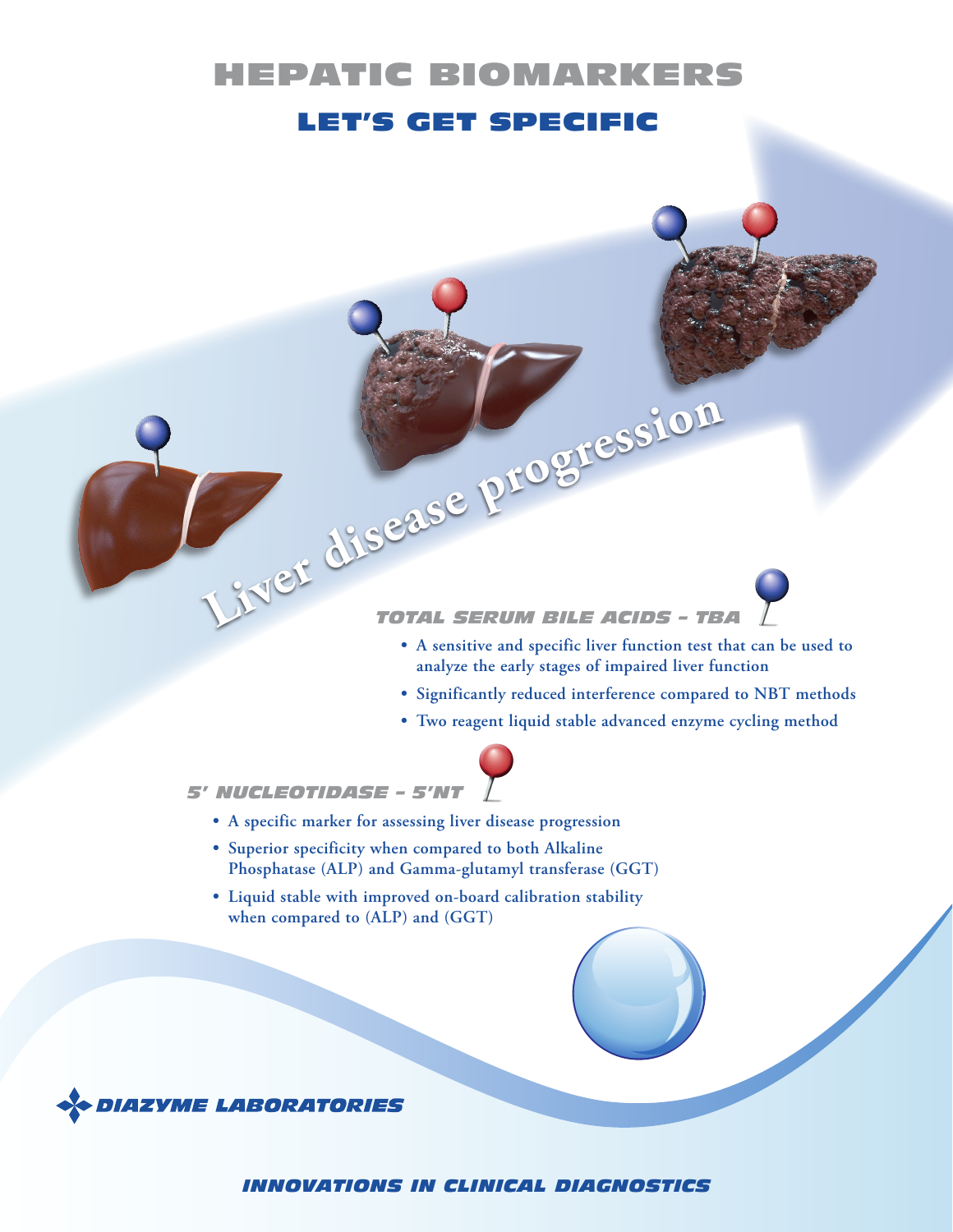# HEPATIC BIOMARKERS LET'S GET SPECIFIC

# *TOTAL SERUM BILE ACIDS – TBA* **<sup>L</sup>ive<sup>r</sup> <sup>d</sup>iseas<sup>e</sup> <sup>p</sup><sup>r</sup><sup>o</sup>g<sup>r</sup>essio<sup>n</sup>**

- **• A sensitive and specific liver function test that can be used to analyze the early stages of impaired liver function**
- **• Significantly reduced interference compared to NBT methods**
- **• Two reagent liquid stable advanced enzyme cycling method**



*5' NUCLEOTIDASE – 5'NT*

- **• A specific marker for assessing liver disease progression**
- **• Superior specificity when compared to both Alkaline Phosphatase (ALP) and Gamma-glutamyl transferase (GGT)**
- **• Liquid stable with improved on-board calibration stability when compared to (ALP) and (GGT)**



*INNOVATIONS IN CLINICAL DIAGNOSTICS*